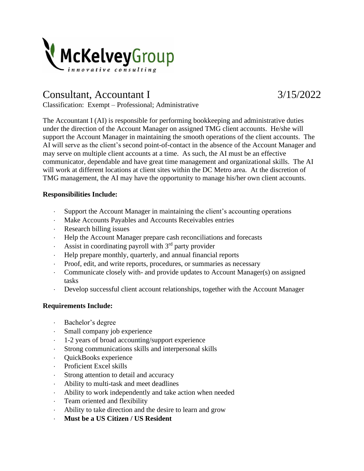

## Consultant, Accountant I 3/15/2022

Classification: Exempt – Professional; Administrative

The Accountant I (AI) is responsible for performing bookkeeping and administrative duties under the direction of the Account Manager on assigned TMG client accounts. He/she will support the Account Manager in maintaining the smooth operations of the client accounts. The AI will serve as the client's second point-of-contact in the absence of the Account Manager and may serve on multiple client accounts at a time. As such, the AI must be an effective communicator, dependable and have great time management and organizational skills. The AI will work at different locations at client sites within the DC Metro area. At the discretion of TMG management, the AI may have the opportunity to manage his/her own client accounts.

## **Responsibilities Include:**

- Support the Account Manager in maintaining the client's accounting operations
- Make Accounts Payables and Accounts Receivables entries
- Research billing issues
- Help the Account Manager prepare cash reconciliations and forecasts
- Assist in coordinating payroll with  $3<sup>rd</sup>$  party provider
- Help prepare monthly, quarterly, and annual financial reports
- Proof, edit, and write reports, procedures, or summaries as necessary
- Communicate closely with- and provide updates to Account Manager(s) on assigned tasks
- Develop successful client account relationships, together with the Account Manager

## **Requirements Include:**

- Bachelor's degree
- Small company job experience
- 1-2 years of broad accounting/support experience
- Strong communications skills and interpersonal skills
- QuickBooks experience
- Proficient Excel skills
- Strong attention to detail and accuracy
- Ability to multi-task and meet deadlines
- Ability to work independently and take action when needed
- Team oriented and flexibility
- Ability to take direction and the desire to learn and grow
- **Must be a US Citizen / US Resident**